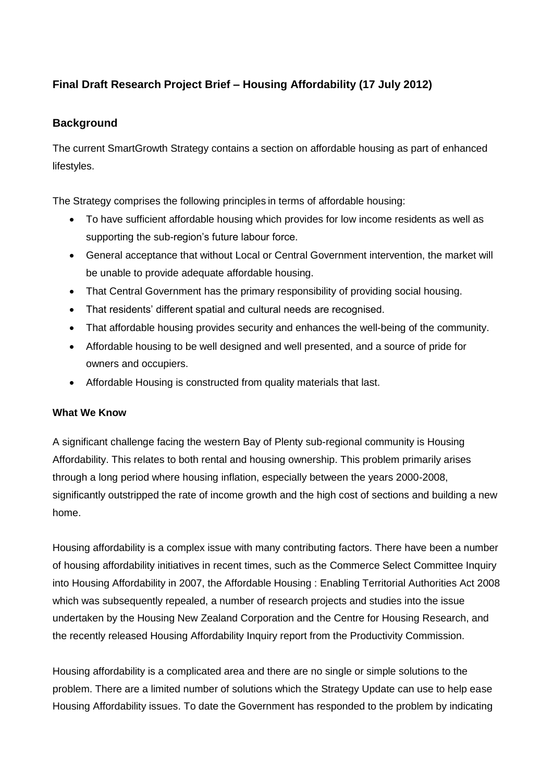# **Final Draft Research Project Brief – Housing Affordability (17 July 2012)**

# **Background**

The current SmartGrowth Strategy contains a section on affordable housing as part of enhanced lifestyles.

The Strategy comprises the following principles in terms of affordable housing:

- To have sufficient affordable housing which provides for low income residents as well as supporting the sub-region's future labour force.
- General acceptance that without Local or Central Government intervention, the market will be unable to provide adequate affordable housing.
- That Central Government has the primary responsibility of providing social housing.
- That residents' different spatial and cultural needs are recognised.
- That affordable housing provides security and enhances the well-being of the community.
- Affordable housing to be well designed and well presented, and a source of pride for owners and occupiers.
- Affordable Housing is constructed from quality materials that last.

#### **What We Know**

A significant challenge facing the western Bay of Plenty sub-regional community is Housing Affordability. This relates to both rental and housing ownership. This problem primarily arises through a long period where housing inflation, especially between the years 2000-2008, significantly outstripped the rate of income growth and the high cost of sections and building a new home.

Housing affordability is a complex issue with many contributing factors. There have been a number of housing affordability initiatives in recent times, such as the Commerce Select Committee Inquiry into Housing Affordability in 2007, the Affordable Housing : Enabling Territorial Authorities Act 2008 which was subsequently repealed, a number of research projects and studies into the issue undertaken by the Housing New Zealand Corporation and the Centre for Housing Research, and the recently released Housing Affordability Inquiry report from the Productivity Commission.

Housing affordability is a complicated area and there are no single or simple solutions to the problem. There are a limited number of solutions which the Strategy Update can use to help ease Housing Affordability issues. To date the Government has responded to the problem by indicating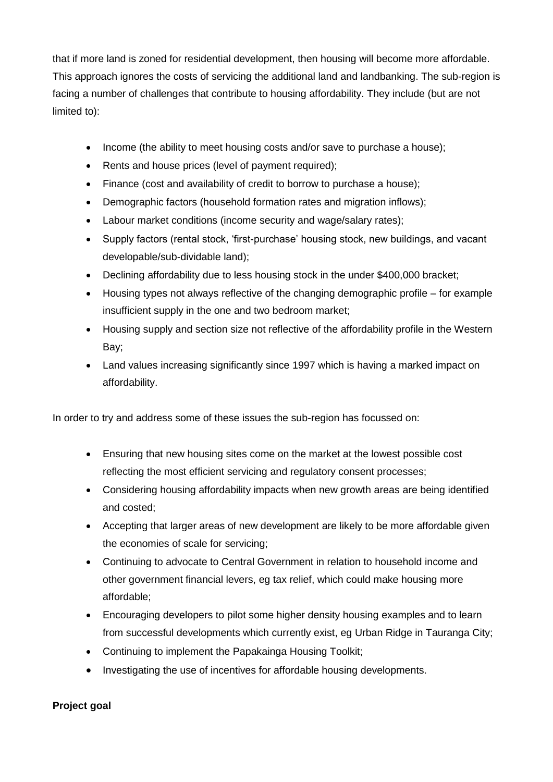that if more land is zoned for residential development, then housing will become more affordable. This approach ignores the costs of servicing the additional land and landbanking. The sub-region is facing a number of challenges that contribute to housing affordability. They include (but are not limited to):

- Income (the ability to meet housing costs and/or save to purchase a house);
- Rents and house prices (level of payment required);
- Finance (cost and availability of credit to borrow to purchase a house);
- Demographic factors (household formation rates and migration inflows);
- Labour market conditions (income security and wage/salary rates);
- Supply factors (rental stock, 'first-purchase' housing stock, new buildings, and vacant developable/sub-dividable land);
- Declining affordability due to less housing stock in the under \$400,000 bracket;
- Housing types not always reflective of the changing demographic profile for example insufficient supply in the one and two bedroom market;
- Housing supply and section size not reflective of the affordability profile in the Western Bay;
- Land values increasing significantly since 1997 which is having a marked impact on affordability.

In order to try and address some of these issues the sub-region has focussed on:

- Ensuring that new housing sites come on the market at the lowest possible cost reflecting the most efficient servicing and regulatory consent processes;
- Considering housing affordability impacts when new growth areas are being identified and costed;
- Accepting that larger areas of new development are likely to be more affordable given the economies of scale for servicing;
- Continuing to advocate to Central Government in relation to household income and other government financial levers, eg tax relief, which could make housing more affordable;
- Encouraging developers to pilot some higher density housing examples and to learn from successful developments which currently exist, eg Urban Ridge in Tauranga City;
- Continuing to implement the Papakainga Housing Toolkit;
- Investigating the use of incentives for affordable housing developments.

### **Project goal**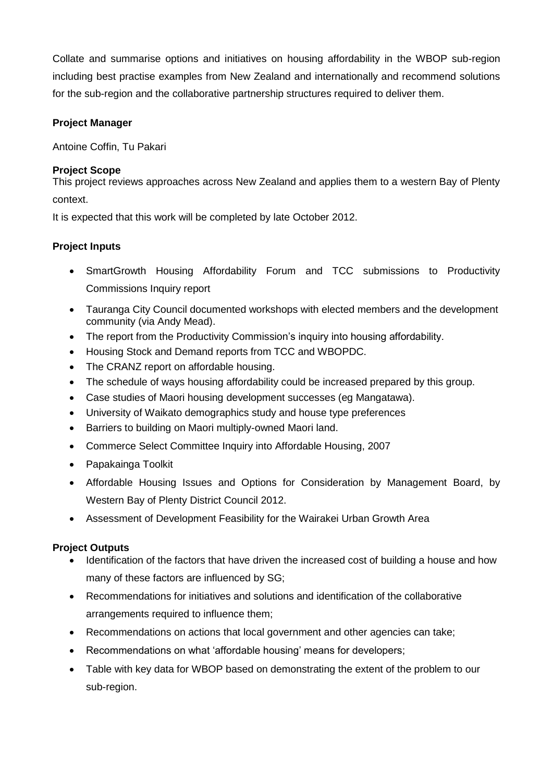Collate and summarise options and initiatives on housing affordability in the WBOP sub-region including best practise examples from New Zealand and internationally and recommend solutions for the sub-region and the collaborative partnership structures required to deliver them.

# **Project Manager**

Antoine Coffin, Tu Pakari

# **Project Scope**

This project reviews approaches across New Zealand and applies them to a western Bay of Plenty context.

It is expected that this work will be completed by late October 2012.

# **Project Inputs**

- SmartGrowth Housing Affordability Forum and TCC submissions to Productivity Commissions Inquiry report
- Tauranga City Council documented workshops with elected members and the development community (via Andy Mead).
- The report from the Productivity Commission's inquiry into housing affordability.
- Housing Stock and Demand reports from TCC and WBOPDC.
- The CRANZ report on affordable housing.
- The schedule of ways housing affordability could be increased prepared by this group.
- Case studies of Maori housing development successes (eg Mangatawa).
- University of Waikato demographics study and house type preferences
- Barriers to building on Maori multiply-owned Maori land.
- Commerce Select Committee Inquiry into Affordable Housing, 2007
- Papakainga Toolkit
- Affordable Housing Issues and Options for Consideration by Management Board, by Western Bay of Plenty District Council 2012.
- Assessment of Development Feasibility for the Wairakei Urban Growth Area

### **Project Outputs**

- Identification of the factors that have driven the increased cost of building a house and how many of these factors are influenced by SG;
- Recommendations for initiatives and solutions and identification of the collaborative arrangements required to influence them;
- Recommendations on actions that local government and other agencies can take;
- Recommendations on what 'affordable housing' means for developers;
- Table with key data for WBOP based on demonstrating the extent of the problem to our sub-region.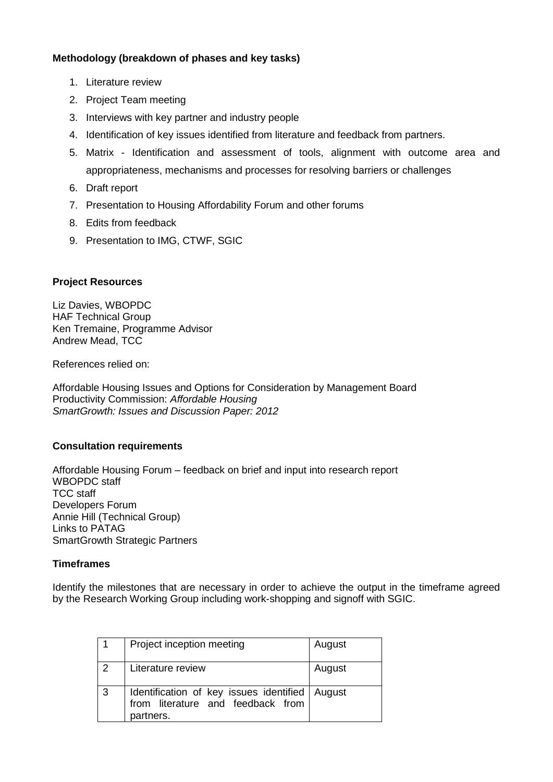#### **Methodology (breakdown of phases and key tasks)**

- 1. Literature review
- 2. Project Team meeting
- 3. Interviews with key partner and industry people
- 4. Identification of key issues identified from literature and feedback from partners.
- 5. Matrix Identification and assessment of tools, alignment with outcome area and appropriateness, mechanisms and processes for resolving barriers or challenges
- 6. Draft report
- 7. Presentation to Housing Affordability Forum and other forums
- 8. Edits from feedback
- 9. Presentation to IMG, CTWF, SGIC

#### **Project Resources**

Liz Davies, WBOPDC HAF Technical Group Ken Tremaine, Programme Advisor Andrew Mead, TCC

References relied on:

Affordable Housing Issues and Options for Consideration by Management Board Productivity Commission: *Affordable Housing SmartGrowth: Issues and Discussion Paper: 2012*

#### **Consultation requirements**

Affordable Housing Forum – feedback on brief and input into research report WBOPDC staff TCC staff Developers Forum Annie Hill (Technical Group) Links to PATAG SmartGrowth Strategic Partners

#### **Timeframes**

Identify the milestones that are necessary in order to achieve the output in the timeframe agreed by the Research Working Group including work-shopping and signoff with SGIC.

|               | Project inception meeting                                                                 | August |
|---------------|-------------------------------------------------------------------------------------------|--------|
| $\mathcal{P}$ | Literature review                                                                         | August |
| 3             | Identification of key issues identified<br>from literature and feedback from<br>partners. | August |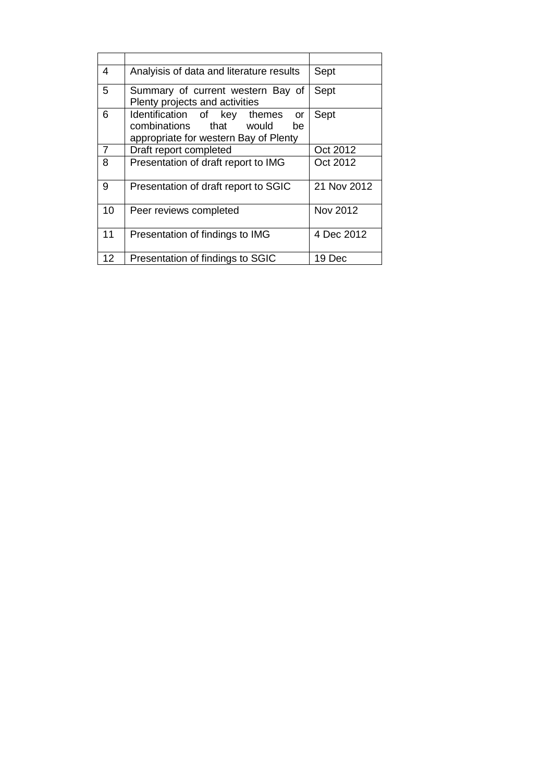| 4              | Analyisis of data and literature results                                   | Sept            |
|----------------|----------------------------------------------------------------------------|-----------------|
| 5              | Summary of current western Bay of                                          | Sept            |
|                | Plenty projects and activities                                             |                 |
| 6              | Identification of key themes<br><b>or</b><br>combinations that would<br>be | Sept            |
|                | appropriate for western Bay of Plenty                                      |                 |
| $\overline{7}$ |                                                                            | Oct 2012        |
|                | Draft report completed                                                     |                 |
| 8              | Presentation of draft report to IMG                                        | Oct 2012        |
| 9              | Presentation of draft report to SGIC                                       | 21 Nov 2012     |
| 10             | Peer reviews completed                                                     | <b>Nov 2012</b> |
| 11             | Presentation of findings to IMG                                            | 4 Dec 2012      |
| 12             | Presentation of findings to SGIC                                           | 19 Dec          |